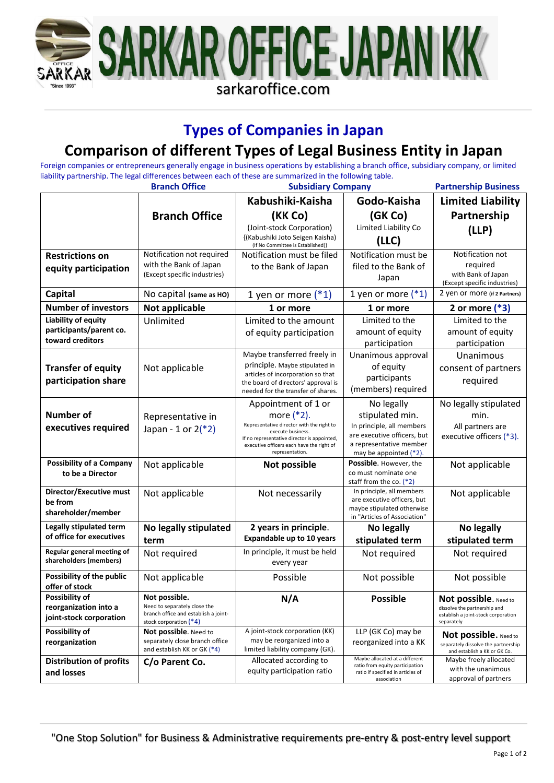

## **Types of Companies in Japan**

## **Comparison of different Types of Legal Business Entity in Japan**

Foreign companies or entrepreneurs generally engage in business operations by establishing a branch office, subsidiary company, or limited liability partnership. The legal differences between each of these are summarized in the following table.

|                                                                    | <b>Branch Office</b>                                                                                              | <b>Subsidiary Company</b>                                                                                                                                                                                             |                                                                                                                                                   | <b>Partnership Business</b>                                                                                |
|--------------------------------------------------------------------|-------------------------------------------------------------------------------------------------------------------|-----------------------------------------------------------------------------------------------------------------------------------------------------------------------------------------------------------------------|---------------------------------------------------------------------------------------------------------------------------------------------------|------------------------------------------------------------------------------------------------------------|
|                                                                    |                                                                                                                   | Kabushiki-Kaisha                                                                                                                                                                                                      | Godo-Kaisha                                                                                                                                       | <b>Limited Liability</b>                                                                                   |
|                                                                    | <b>Branch Office</b>                                                                                              | (KK Co)                                                                                                                                                                                                               | (GK Co)                                                                                                                                           | Partnership                                                                                                |
|                                                                    |                                                                                                                   | (Joint-stock Corporation)<br>{(Kabushiki Joto Seigen Kaisha)<br>(If No Committee is Established)}                                                                                                                     | Limited Liability Co<br>(LLC)                                                                                                                     | (LLP)                                                                                                      |
| <b>Restrictions on</b>                                             | Notification not required                                                                                         | Notification must be filed                                                                                                                                                                                            | Notification must be                                                                                                                              | Notification not                                                                                           |
| equity participation                                               | with the Bank of Japan<br>(Except specific industries)                                                            | to the Bank of Japan                                                                                                                                                                                                  | filed to the Bank of<br>Japan                                                                                                                     | required<br>with Bank of Japan<br>(Except specific industries)                                             |
| <b>Capital</b>                                                     | No capital (same as HO)                                                                                           | 1 yen or more $(*1)$                                                                                                                                                                                                  | 1 yen or more $(*1)$                                                                                                                              | 2 yen or more (if 2 Partners)                                                                              |
| <b>Number of investors</b>                                         | Not applicable                                                                                                    | 1 or more                                                                                                                                                                                                             | 1 or more                                                                                                                                         | 2 or more $(*3)$                                                                                           |
| Liability of equity<br>participants/parent co.<br>toward creditors | Unlimited                                                                                                         | Limited to the amount<br>of equity participation                                                                                                                                                                      | Limited to the<br>amount of equity<br>participation                                                                                               | Limited to the<br>amount of equity<br>participation                                                        |
| <b>Transfer of equity</b><br>participation share                   | Not applicable                                                                                                    | Maybe transferred freely in<br>principle. Maybe stipulated in<br>articles of incorporation so that<br>the board of directors' approval is<br>needed for the transfer of shares.                                       | Unanimous approval<br>of equity<br>participants<br>(members) required                                                                             | Unanimous<br>consent of partners<br>required                                                               |
| <b>Number of</b><br>executives required                            | Representative in<br>Japan - 1 or $2(*2)$                                                                         | Appointment of 1 or<br>more $(*2)$ .<br>Representative director with the right to<br>execute business.<br>If no representative director is appointed,<br>executive officers each have the right of<br>representation. | No legally<br>stipulated min.<br>In principle, all members<br>are executive officers, but<br>a representative member<br>may be appointed $(*2)$ . | No legally stipulated<br>min.<br>All partners are<br>executive officers (*3).                              |
| <b>Possibility of a Company</b><br>to be a Director                | Not applicable                                                                                                    | Not possible                                                                                                                                                                                                          | <b>Possible.</b> However, the<br>co must nominate one<br>staff from the co. $(*2)$                                                                | Not applicable                                                                                             |
| Director/Executive must<br>be from<br>shareholder/member           | Not applicable                                                                                                    | Not necessarily                                                                                                                                                                                                       | In principle, all members<br>are executive officers, but<br>maybe stipulated otherwise<br>in "Articles of Association"                            | Not applicable                                                                                             |
| Legally stipulated term                                            | No legally stipulated                                                                                             | 2 years in principle.                                                                                                                                                                                                 | No legally                                                                                                                                        | No legally                                                                                                 |
| of office for executives                                           | term                                                                                                              | Expandable up to 10 years                                                                                                                                                                                             | stipulated term                                                                                                                                   | stipulated term                                                                                            |
| Regular general meeting of<br>shareholders (members)               | Not required                                                                                                      | In principle, it must be held<br>every year                                                                                                                                                                           | Not required                                                                                                                                      | Not required                                                                                               |
| Possibility of the public<br>offer of stock                        | Not applicable                                                                                                    | Possible                                                                                                                                                                                                              | Not possible                                                                                                                                      | Not possible                                                                                               |
| Possibility of<br>reorganization into a<br>joint-stock corporation | Not possible.<br>Need to separately close the<br>branch office and establish a joint-<br>stock corporation $(*4)$ | N/A                                                                                                                                                                                                                   | <b>Possible</b>                                                                                                                                   | Not possible. Need to<br>dissolve the partnership and<br>establish a joint-stock corporation<br>separately |
| Possibility of<br>reorganization                                   | Not possible. Need to<br>separately close branch office<br>and establish KK or GK (*4)                            | A joint-stock corporation (KK)<br>may be reorganized into a<br>limited liability company (GK).                                                                                                                        | LLP (GK Co) may be<br>reorganized into a KK                                                                                                       | Not possible. Need to<br>separately dissolve the partnership<br>and establish a KK or GK Co.               |
| <b>Distribution of profits</b><br>and losses                       | C/o Parent Co.                                                                                                    | Allocated according to<br>equity participation ratio                                                                                                                                                                  | Maybe allocated at a different<br>ratio from equity participation<br>ratio if specified in articles of<br>association                             | Maybe freely allocated<br>with the unanimous<br>approval of partners                                       |